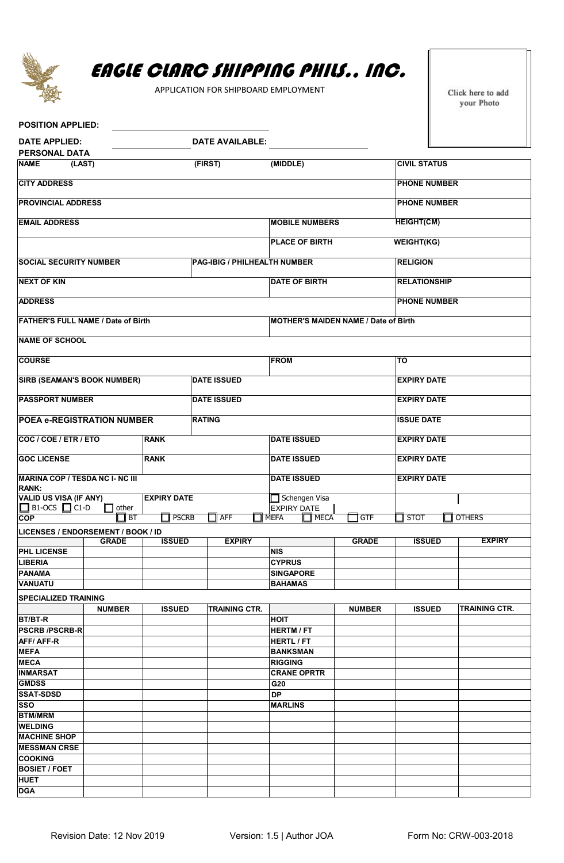

## EAGLE CLARC SHIPPING PHILS., INC.

APPLICATION FOR SHIPBOARD EMPLOYMENT

Click here to add your Photo

| <b>POSITION APPLIED:</b>                                                                         |               |               |                        |                              |                                     |                     |                     |                    |                      |  |
|--------------------------------------------------------------------------------------------------|---------------|---------------|------------------------|------------------------------|-------------------------------------|---------------------|---------------------|--------------------|----------------------|--|
| <b>DATE APPLIED:</b><br><b>PERSONAL DATA</b>                                                     |               |               | <b>DATE AVAILABLE:</b> |                              |                                     |                     |                     |                    |                      |  |
| <b>NAME</b>                                                                                      | (LAST)        |               | (FIRST)                |                              | (MIDDLE)                            | <b>CIVIL STATUS</b> |                     |                    |                      |  |
| <b>CITY ADDRESS</b>                                                                              |               |               |                        |                              |                                     |                     | <b>PHONE NUMBER</b> |                    |                      |  |
| <b>PROVINCIAL ADDRESS</b>                                                                        |               |               |                        |                              |                                     |                     | <b>PHONE NUMBER</b> |                    |                      |  |
| <b>EMAIL ADDRESS</b>                                                                             |               |               |                        |                              | <b>MOBILE NUMBERS</b>               |                     | <b>HEIGHT(CM)</b>   |                    |                      |  |
|                                                                                                  |               |               | <b>PLACE OF BIRTH</b>  | <b>WEIGHT(KG)</b>            |                                     |                     |                     |                    |                      |  |
| <b>SOCIAL SECURITY NUMBER</b>                                                                    |               |               |                        | PAG-IBIG / PHILHEALTH NUMBER |                                     | <b>RELIGION</b>     |                     |                    |                      |  |
| <b>NEXT OF KIN</b>                                                                               |               |               |                        |                              | <b>DATE OF BIRTH</b>                |                     | <b>RELATIONSHIP</b> |                    |                      |  |
| <b>ADDRESS</b>                                                                                   |               |               | <b>PHONE NUMBER</b>    |                              |                                     |                     |                     |                    |                      |  |
| <b>FATHER'S FULL NAME / Date of Birth</b><br><b>MOTHER'S MAIDEN NAME / Date of Birth</b>         |               |               |                        |                              |                                     |                     |                     |                    |                      |  |
| <b>NAME OF SCHOOL</b>                                                                            |               |               |                        |                              |                                     |                     |                     |                    |                      |  |
| <b>COURSE</b>                                                                                    |               |               |                        |                              | <b>FROM</b>                         |                     | TO                  |                    |                      |  |
| <b>SIRB (SEAMAN'S BOOK NUMBER)</b>                                                               |               |               | <b>DATE ISSUED</b>     |                              |                                     |                     | <b>EXPIRY DATE</b>  |                    |                      |  |
| <b>PASSPORT NUMBER</b>                                                                           |               |               | <b>DATE ISSUED</b>     |                              |                                     |                     | <b>EXPIRY DATE</b>  |                    |                      |  |
| <b>POEA e-REGISTRATION NUMBER</b>                                                                |               |               | <b>RATING</b>          |                              |                                     | <b>ISSUE DATE</b>   |                     |                    |                      |  |
| COC / COE / ETR / ETO                                                                            |               | <b>RANK</b>   |                        |                              | <b>DATE ISSUED</b>                  | <b>EXPIRY DATE</b>  |                     |                    |                      |  |
| <b>GOC LICENSE</b><br><b>RANK</b>                                                                |               |               |                        |                              | <b>DATE ISSUED</b>                  | <b>EXPIRY DATE</b>  |                     |                    |                      |  |
| <b>MARINA COP / TESDA NC I- NC III</b><br><b>RANK:</b>                                           |               |               |                        | <b>DATE ISSUED</b>           |                                     |                     |                     | <b>EXPIRY DATE</b> |                      |  |
| <b>VALID US VISA (IF ANY)</b><br><b>EXPIRY DATE</b><br>$\Box$ B1-OCS $\Box$ C1-D<br>$\Box$ other |               |               |                        |                              | Schengen Visa<br><b>EXPIRY DATE</b> |                     |                     |                    |                      |  |
| <b>COP</b>                                                                                       | <b>BT</b>     | <b>PSCRB</b>  |                        | $\Box$ AFF                   | <b>NEFA</b><br><b>T</b> MECA        | GTF                 | <b>STOT</b>         |                    | <b>OTHERS</b>        |  |
| LICENSES / ENDORSEMENT / BOOK / ID                                                               |               | <b>ISSUED</b> |                        | <b>EXPIRY</b>                |                                     | <b>GRADE</b>        | <b>ISSUED</b>       |                    | <b>EXPIRY</b>        |  |
| <b>PHL LICENSE</b>                                                                               | <b>GRADE</b>  |               |                        |                              | <b>NIS</b>                          |                     |                     |                    |                      |  |
| <b>LIBERIA</b>                                                                                   |               |               |                        |                              | <b>CYPRUS</b>                       |                     |                     |                    |                      |  |
| <b>PANAMA</b>                                                                                    |               |               |                        |                              | <b>SINGAPORE</b>                    |                     |                     |                    |                      |  |
| <b>VANUATU</b>                                                                                   |               |               |                        |                              | <b>BAHAMAS</b>                      |                     |                     |                    |                      |  |
| <b>SPECIALIZED TRAINING</b>                                                                      |               |               |                        |                              |                                     |                     |                     |                    |                      |  |
|                                                                                                  | <b>NUMBER</b> | <b>ISSUED</b> |                        | <b>TRAINING CTR.</b>         |                                     | <b>NUMBER</b>       | <b>ISSUED</b>       |                    | <b>TRAINING CTR.</b> |  |
| BT/BT-R                                                                                          |               |               |                        |                              | <b>HOIT</b>                         |                     |                     |                    |                      |  |
| <b>PSCRB /PSCRB-R</b>                                                                            |               |               |                        |                              | <b>HERTM/FT</b>                     |                     |                     |                    |                      |  |
| <b>AFF/AFF-R</b>                                                                                 |               |               |                        |                              | <b>HERTL / FT</b>                   |                     |                     |                    |                      |  |
| <b>MEFA</b>                                                                                      |               |               |                        |                              | <b>BANKSMAN</b>                     |                     |                     |                    |                      |  |
| <b>MECA</b>                                                                                      |               |               |                        |                              | <b>RIGGING</b>                      |                     |                     |                    |                      |  |
| <b>INMARSAT</b>                                                                                  |               |               |                        |                              | <b>CRANE OPRTR</b>                  |                     |                     |                    |                      |  |
| <b>GMDSS</b>                                                                                     |               |               |                        |                              | G20                                 |                     |                     |                    |                      |  |
| <b>SSAT-SDSD</b>                                                                                 |               |               |                        |                              | DP                                  |                     |                     |                    |                      |  |
| <b>SSO</b>                                                                                       |               |               |                        |                              | <b>MARLINS</b>                      |                     |                     |                    |                      |  |
| <b>BTM/MRM</b>                                                                                   |               |               |                        |                              |                                     |                     |                     |                    |                      |  |
| <b>WELDING</b>                                                                                   |               |               |                        |                              |                                     |                     |                     |                    |                      |  |
| <b>MACHINE SHOP</b>                                                                              |               |               |                        |                              |                                     |                     |                     |                    |                      |  |
| <b>MESSMAN CRSE</b>                                                                              |               |               |                        |                              |                                     |                     |                     |                    |                      |  |
| <b>COOKING</b>                                                                                   |               |               |                        |                              |                                     |                     |                     |                    |                      |  |
| <b>BOSIET / FOET</b>                                                                             |               |               |                        |                              |                                     |                     |                     |                    |                      |  |
| <b>HUET</b>                                                                                      |               |               |                        |                              |                                     |                     |                     |                    |                      |  |
| <b>DGA</b>                                                                                       |               |               |                        |                              |                                     |                     |                     |                    |                      |  |
|                                                                                                  |               |               |                        |                              |                                     |                     |                     |                    |                      |  |